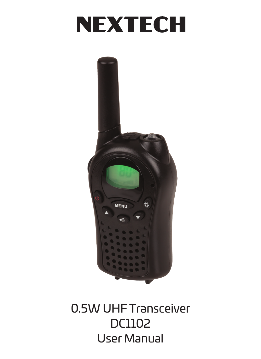# **NEXTECH**



0.5W UHF Transceiver DC1102 User Manual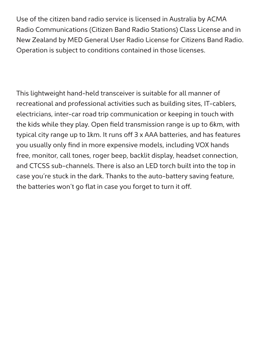Use of the citizen band radio service is licensed in Australia by ACMA Radio Communications (Citizen Band Radio Stations) Class License and in New Zealand by MED General User Radio License for Citizens Band Radio. Operation is subject to conditions contained in those licenses.

This lightweight hand-held transceiver is suitable for all manner of recreational and professional activities such as building sites, IT-cablers, electricians, inter-car road trip communication or keeping in touch with the kids while they play. Open field transmission range is up to 6km, with typical city range up to 1km. It runs off 3 x AAA batteries, and has features you usually only find in more expensive models, including VOX hands free, monitor, call tones, roger beep, backlit display, headset connection, and CTCSS sub-channels. There is also an LED torch built into the top in case you're stuck in the dark. Thanks to the auto-battery saving feature, the batteries won't go flat in case you forget to turn it off.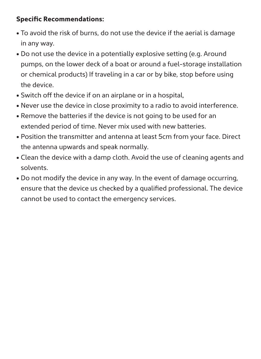#### **Specific Recommendations:**

- To avoid the risk of burns, do not use the device if the aerial is damage in any way.
- Do not use the device in a potentially explosive setting (e.g. Around pumps, on the lower deck of a boat or around a fuel-storage installation or chemical products) If traveling in a car or by bike, stop before using the device.
- Switch off the device if on an airplane or in a hospital,
- Never use the device in close proximity to a radio to avoid interference.
- Remove the batteries if the device is not going to be used for an extended period of time. Never mix used with new batteries.
- Position the transmitter and antenna at least 5cm from your face. Direct the antenna upwards and speak normally.
- Clean the device with a damp cloth. Avoid the use of cleaning agents and solvents.
- Do not modify the device in any way. In the event of damage occurring, ensure that the device us checked by a qualified professional. The device cannot be used to contact the emergency services.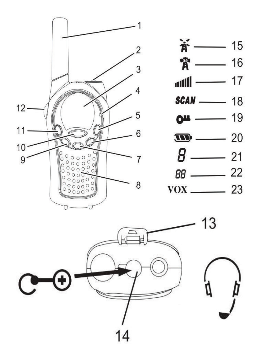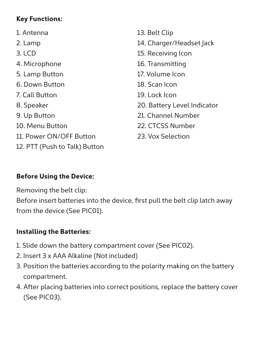## **Key Functions:**

1. Antenna 2. Lamp 3. LCD 4. Microphone 5. Lamp Button 6. Down Button 7. Call Button 8. Speaker 9. Up Button 10. Menu Button 11. Power ON/OFF Button 12. PTT (Push to Talk) Button

13. Belt Clip 14. Charger/Headset Jack 15. Receiving Icon 16. Transmitting 17. Volume Icon 18. Scan Icon 19. Lock Icon 20. Battery Level Indicator 21. Channel Number 22. CTCSS Number 23. Vox Selection

### **Before Using the Device:**

Removing the belt clip:

Before insert batteries into the device, first pull the belt clip latch away from the device (See PIC01).

## **Installing the Batteries:**

- 1. Slide down the battery compartment cover (See PIC02).
- 2. Insert 3 x AAA Alkaline (Not included)
- 3. Position the batteries according to the polarity making on the battery compartment.
- 4. After placing batteries into correct positions, replace the battery cover (See PIC03).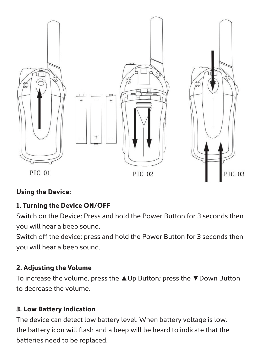

## **Using the Device:**

## **1. Turning the Device ON/OFF**

Switch on the Device: Press and hold the Power Button for 3 seconds then you will hear a beep sound.

Switch off the device: press and hold the Power Button for 3 seconds then you will hear a beep sound.

## **2. Adjusting the Volume**

To increase the volume, press the **▲**Up Button; press the **▼**Down Button to decrease the volume.

## **3. Low Battery Indication**

The device can detect low battery level. When battery voltage is low, the battery icon will flash and a beep will be heard to indicate that the batteries need to be replaced.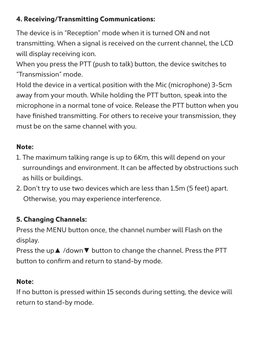## **4. Receiving/Transmitting Communications:**

The device is in "Reception" mode when it is turned ON and not transmitting. When a signal is received on the current channel, the LCD will display receiving icon.

When you press the PTT (push to talk) button, the device switches to "Transmission" mode.

Hold the device in a vertical position with the Mic (microphone) 3-5cm away from your mouth. While holding the PTT button, speak into the microphone in a normal tone of voice. Release the PTT button when you have finished transmitting. For others to receive your transmission, they must be on the same channel with you.

## **Note:**

- 1. The maximum talking range is up to 6Km, this will depend on your surroundings and environment. It can be affected by obstructions such as hills or buildings.
- 2. Don't try to use two devices which are less than 1.5m (5 feet) apart. Otherwise, you may experience interference.

# **5. Changing Channels:**

Press the MENU button once, the channel number will Flash on the display.

Press the up**▲** /down**▼** button to change the channel. Press the PTT button to confirm and return to stand-by mode.

# **Note:**

If no button is pressed within 15 seconds during setting, the device will return to stand-by mode.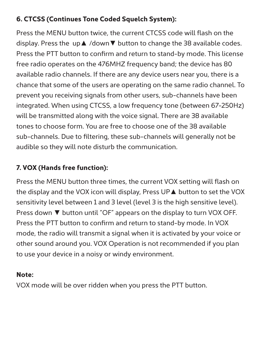## **6. CTCSS (Continues Tone Coded Squelch System):**

Press the MENU button twice, the current CTCSS code will flash on the display. Press the up**▲** /down**▼** button to change the 38 available codes. Press the PTT button to confirm and return to stand-by mode. This license free radio operates on the 476MHZ frequency band; the device has 80 available radio channels. If there are any device users near you, there is a chance that some of the users are operating on the same radio channel. To prevent you receiving signals from other users, sub-channels have been integrated. When using CTCSS, a low frequency tone (between 67-250Hz) will be transmitted along with the voice signal. There are 38 available tones to choose form. You are free to choose one of the 38 available sub-channels. Due to filtering, these sub-channels will generally not be audible so they will note disturb the communication.

## **7. VOX (Hands free function):**

Press the MENU button three times, the current VOX setting will flash on the display and the VOX icon will display, Press UP**▲** button to set the VOX sensitivity level between 1 and 3 level (level 3 is the high sensitive level). Press down **▼** button until "OF" appears on the display to turn VOX OFF. Press the PTT button to confirm and return to stand-by mode. In VOX mode, the radio will transmit a signal when it is activated by your voice or other sound around you. VOX Operation is not recommended if you plan to use your device in a noisy or windy environment.

#### **Note:**

VOX mode will be over ridden when you press the PTT button.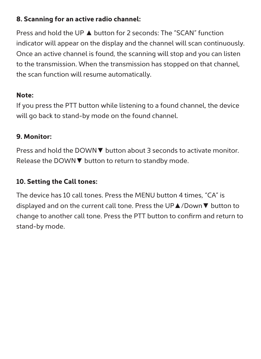#### **8. Scanning for an active radio channel:**

Press and hold the UP **▲** button for 2 seconds: The "SCAN" function indicator will appear on the display and the channel will scan continuously. Once an active channel is found, the scanning will stop and you can listen to the transmission. When the transmission has stopped on that channel, the scan function will resume automatically.

## **Note:**

If you press the PTT button while listening to a found channel, the device will go back to stand-by mode on the found channel.

## **9. Monitor:**

Press and hold the DOWN**▼** button about 3 seconds to activate monitor. Release the DOWN**▼** button to return to standby mode.

# **10. Setting the Call tones:**

The device has 10 call tones. Press the MENU button 4 times, "CA" is displayed and on the current call tone. Press the UP**▲**/Down**▼** button to change to another call tone. Press the PTT button to confirm and return to stand-by mode.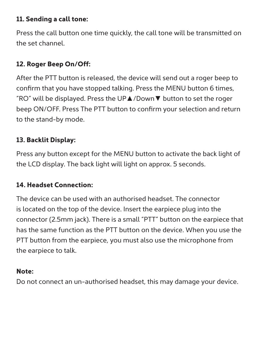#### **11. Sending a call tone:**

Press the call button one time quickly, the call tone will be transmitted on the set channel.

## **12. Roger Beep On/Off:**

After the PTT button is released, the device will send out a roger beep to confirm that you have stopped talking. Press the MENU button 6 times, "RO" will be displayed. Press the UP**▲**/Down**▼** button to set the roger beep ON/OFF. Press The PTT button to confirm your selection and return to the stand-by mode.

## **13. Backlit Display:**

Press any button except for the MENU button to activate the back light of the LCD display. The back light will light on approx. 5 seconds.

### **14. Headset Connection:**

The device can be used with an authorised headset. The connector is located on the top of the device. Insert the earpiece plug into the connector (2.5mm jack). There is a small "PTT" button on the earpiece that has the same function as the PTT button on the device. When you use the PTT button from the earpiece, you must also use the microphone from the earpiece to talk.

## **Note:**

Do not connect an un-authorised headset, this may damage your device.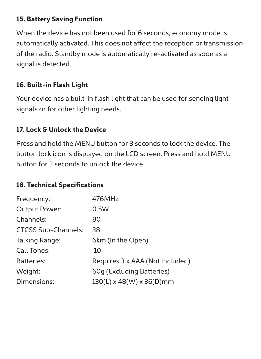#### **15. Battery Saving Function**

When the device has not been used for 6 seconds, economy mode is automatically activated. This does not affect the reception or transmission of the radio. Standby mode is automatically re-activated as soon as a signal is detected.

### **16. Built-in Flash Light**

Your device has a built-in flash light that can be used for sending light signals or for other lighting needs.

### **17. Lock & Unlock the Device**

Press and hold the MENU button for 3 seconds to lock the device. The button lock icon is displayed on the LCD screen. Press and hold MENU button for 3 seconds to unlock the device.

#### **18. Technical Specifications**

| Frequency:                 | 476MHz                          |
|----------------------------|---------------------------------|
| Output Power:              | 0.5W                            |
| Channels:                  | 80                              |
| <b>CTCSS Sub-Channels:</b> | 38                              |
| Talking Range:             | 6km (In the Open)               |
| Call Tones:                | 10                              |
| Batteries:                 | Requires 3 x AAA (Not Included) |
| Weight:                    | 60q (Excluding Batteries)       |
| Dimensions:                | 130(L) x 48(W) x 36(D)mm        |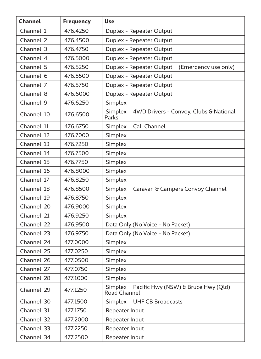| Channel    | <b>Frequency</b> | Use                                                            |
|------------|------------------|----------------------------------------------------------------|
| Channel 1  | 476.4250         | Duplex - Repeater Output                                       |
| Channel 2  | 476.4500         | Duplex - Repeater Output                                       |
| Channel 3  | 476.4750         | Duplex - Repeater Output                                       |
| Channel 4  | 476,5000         | Duplex - Repeater Output                                       |
| Channel 5  | 476.5250         | Duplex - Repeater Output<br>(Emergency use only)               |
| Channel 6  | 476.5500         | Duplex - Repeater Output                                       |
| Channel 7  | 476.5750         | Duplex - Repeater Output                                       |
| Channel 8  | 476,6000         | Duplex - Repeater Output                                       |
| Channel 9  | 476.6250         | Simplex                                                        |
| Channel 10 | 476.6500         | 4WD Drivers - Convoy, Clubs & National<br>Simplex<br>Parks     |
| Channel 11 | 476.6750         | Simplex<br>Call Channel                                        |
| Channel 12 | 476.7000         | Simplex                                                        |
| Channel 13 | 476.7250         | Simplex                                                        |
| Channel 14 | 476.7500         | Simplex                                                        |
| Channel 15 | 476.7750         | Simplex                                                        |
| Channel 16 | 476.8000         | Simplex                                                        |
| Channel 17 | 476.8250         | Simplex                                                        |
| Channel 18 | 476.8500         | Caravan & Campers Convoy Channel<br>Simplex                    |
| Channel 19 | 476.8750         | Simplex                                                        |
| Channel 20 | 476.9000         | Simplex                                                        |
| Channel 21 | 476.9250         | Simplex                                                        |
| Channel 22 | 476.9500         | Data Only (No Voice - No Packet)                               |
| Channel 23 | 476.9750         | Data Only (No Voice - No Packet)                               |
| Channel 24 | 477,0000         | Simplex                                                        |
| Channel 25 | 477.0250         | Simplex                                                        |
| Channel 26 | 477.0500         | Simplex                                                        |
| Channel 27 | 477.0750         | Simplex                                                        |
| Channel 28 | 477.1000         | Simplex                                                        |
| Channel 29 | 477.1250         | Simplex<br>Pacific Hwy (NSW) & Bruce Hwy (Old)<br>Road Channel |
| Channel 30 | 477.1500         | <b>UHF CB Broadcasts</b><br>Simplex                            |
| Channel 31 | 477.1750         | Repeater Input                                                 |
| Channel 32 | 477.2000         | Repeater Input                                                 |
| Channel 33 | 477.2250         | Repeater Input                                                 |
| Channel 34 | 477,2500         | Repeater Input                                                 |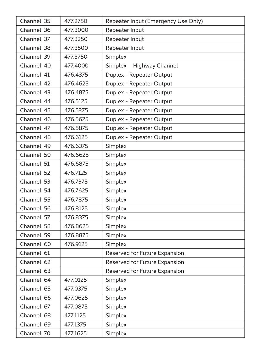| Channel 35 | 477.2750 | Repeater Input (Emergency Use Only) |
|------------|----------|-------------------------------------|
| Channel 36 | 477.3000 | Repeater Input                      |
| Channel 37 | 477.3250 | Repeater Input                      |
| Channel 38 | 477.3500 | Repeater Input                      |
| Channel 39 | 477,3750 | Simplex                             |
| Channel 40 | 477.4000 | Simplex<br>Highway Channel          |
| Channel 41 | 476.4375 | Duplex - Repeater Output            |
| Channel 42 | 476.4625 | Duplex - Repeater Output            |
| Channel 43 | 476.4875 | Duplex - Repeater Output            |
| Channel 44 | 476.5125 | Duplex - Repeater Output            |
| Channel 45 | 476.5375 | Duplex - Repeater Output            |
| Channel 46 | 476.5625 | Duplex - Repeater Output            |
| Channel 47 | 476.5875 | Duplex - Repeater Output            |
| Channel 48 | 476.6125 | Duplex - Repeater Output            |
| Channel 49 | 476.6375 | Simplex                             |
| Channel 50 | 476.6625 | Simplex                             |
| Channel 51 | 476.6875 | Simplex                             |
| Channel 52 | 476.7125 | Simplex                             |
| Channel 53 | 476.7375 | Simplex                             |
| Channel 54 | 476.7625 | Simplex                             |
| Channel 55 | 476.7875 | Simplex                             |
| Channel 56 | 476.8125 | Simplex                             |
| Channel 57 | 476.8375 | Simplex                             |
| Channel 58 | 476.8625 | Simplex                             |
| Channel 59 | 476.8875 | Simplex                             |
| Channel 60 | 476.9125 | Simplex                             |
| Channel 61 |          | Reserved for Future Expansion       |
| Channel 62 |          | Reserved for Future Expansion       |
| Channel 63 |          | Reserved for Future Expansion       |
| Channel 64 | 477.0125 | Simplex                             |
| Channel 65 | 477.0375 | Simplex                             |
| Channel 66 | 477.0625 | Simplex                             |
| Channel 67 | 477.0875 | Simplex                             |
| Channel 68 | 477.1125 | Simplex                             |
| Channel 69 | 477.1375 | Simplex                             |
| Channel 70 | 477.1625 | Simplex                             |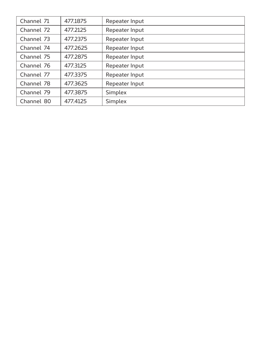| Channel 71 | 477.1875 | Repeater Input |
|------------|----------|----------------|
| Channel 72 | 477.2125 | Repeater Input |
| Channel 73 | 477.2375 | Repeater Input |
| Channel 74 | 477.2625 | Repeater Input |
| Channel 75 | 477.2875 | Repeater Input |
| Channel 76 | 477.3125 | Repeater Input |
| Channel 77 | 477.3375 | Repeater Input |
| Channel 78 | 477.3625 | Repeater Input |
| Channel 79 | 477.3875 | Simplex        |
| Channel 80 | 477.4125 | Simplex        |